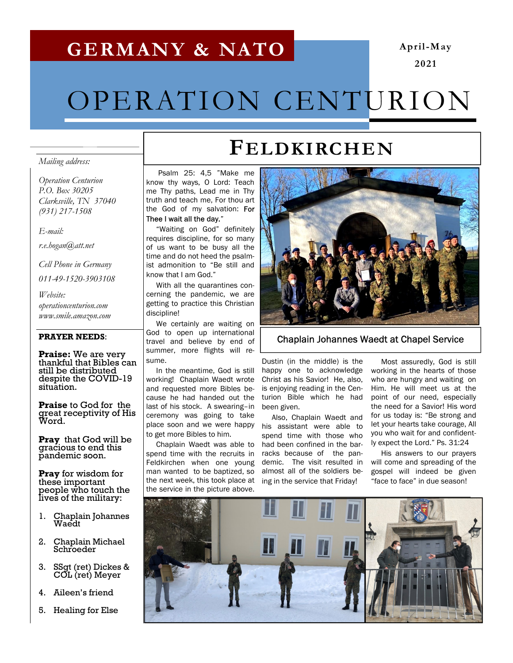### GERMANY & NATO

#### April-May 2021

# OPERATION CENTURION

#### Mailing address:

Operation Centurion P.O. Box 30205 Clarksville, TN 37040 (931) 217-1508

#### E-mail:

r.e.hogan@att.net

Cell Phone in Germany

011-49-1520-3903108

Website: operationcenturion.com www.smile.amazon.com

#### PRAYER NEEDS:

Praise: We are very thankful that Bibles can still be distributed despite the COVID-19 situation.

Praise to God for the great receptivity of His Word.

**Pray** that God will be gracious to end this pandemic soon.

Pray for wisdom for these important people who touch the lives of the military:

- 1. Chaplain Johannes Waedt
- 2. Chaplain Michael **Schroeder**
- 3. SSgt (ret) Dickes & COL (ret) Meyer
- 4. Aileen's friend
- 5. Healing for Else

## FELDKIRCHEN

 Psalm 25: 4,5 "Make me know thy ways, O Lord: Teach me Thy paths, Lead me in Thy truth and teach me, For thou art the God of my salvation: For Thee I wait all the day."

 "Waiting on God" definitely requires discipline, for so many of us want to be busy all the time and do not heed the psalmist admonition to "Be still and know that I am God."

 With all the quarantines concerning the pandemic, we are getting to practice this Christian discipline!

 We certainly are waiting on God to open up international travel and believe by end of summer, more flights will resume.

 In the meantime, God is still working! Chaplain Waedt wrote and requested more Bibles because he had handed out the last of his stock. A swearing–in ceremony was going to take place soon and we were happy to get more Bibles to him.

the next week, this took place at ing in the service that Friday! Chaplain Waedt was able to spend time with the recruits in Feldkirchen when one young man wanted to be baptized, so the service in the picture above.



Chaplain Johannes Waedt at Chapel Service

Dustin (in the middle) is the happy one to acknowledge Christ as his Savior! He, also, is enjoying reading in the Centurion Bible which he had been given.

 Also, Chaplain Waedt and his assistant were able to spend time with those who had been confined in the barracks because of the pandemic. The visit resulted in almost all of the soldiers be-

 Most assuredly, God is still working in the hearts of those who are hungry and waiting on Him. He will meet us at the point of our need, especially the need for a Savior! His word for us today is: "Be strong and let your hearts take courage, All you who wait for and confidently expect the Lord." Ps. 31:24

 His answers to our prayers will come and spreading of the gospel will indeed be given "face to face" in due season!